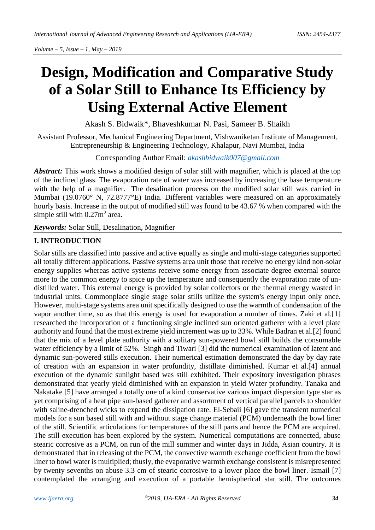# **Design, Modification and Comparative Study of a Solar Still to Enhance Its Efficiency by Using External Active Element**

Akash S. Bidwaik\*, Bhaveshkumar N. Pasi, Sameer B. Shaikh

Assistant Professor, Mechanical Engineering Department, Vishwaniketan Institute of Management, Entrepreneurship & Engineering Technology, Khalapur, Navi Mumbai, India

Corresponding Author Email: *[akashbidwaik007@gmail.com](mailto:akashbidwaik007@gmail.com)*

*Abstract:* This work shows a modified design of solar still with magnifier, which is placed at the top of the inclined glass. The evaporation rate of water was increased by increasing the base temperature with the help of a magnifier. The desalination process on the modified solar still was carried in Mumbai (19.0760° N, 72.8777°E) India. Different variables were measured on an approximately hourly basis. Increase in the output of modified still was found to be 43.67 % when compared with the simple still with  $0.27m^2$  area.

*Keywords:* Solar Still, Desalination, Magnifier

## **I. INTRODUCTION**

Solar stills are classified into passive and active equally as single and multi-stage categories supported all totally different applications. Passive systems area unit those that receive no energy kind non-solar energy supplies whereas active systems receive some energy from associate degree external source more to the common energy to spice up the temperature and consequently the evaporation rate of undistilled water. This external energy is provided by solar collectors or the thermal energy wasted in industrial units. Commonplace single stage solar stills utilize the system's energy input only once. However, multi-stage systems area unit specifically designed to use the warmth of condensation of the vapor another time, so as that this energy is used for evaporation a number of times. Zaki et al.[1] researched the incorporation of a functioning single inclined sun oriented gatherer with a level plate authority and found that the most extreme yield increment was up to 33%. While Badran et al.[2] found that the mix of a level plate authority with a solitary sun-powered bowl still builds the consumable water efficiency by a limit of 52%. Singh and Tiwari [3] did the numerical examination of latent and dynamic sun-powered stills execution. Their numerical estimation demonstrated the day by day rate of creation with an expansion in water profundity, distillate diminished. Kumar et al.[4] annual execution of the dynamic sunlight based was still exhibited. Their expository investigation phrases demonstrated that yearly yield diminished with an expansion in yield Water profundity. Tanaka and Nakatake [5] have arranged a totally one of a kind conservative various impact dispersion type star as yet comprising of a heat pipe sun-based gatherer and assortment of vertical parallel parcels to shoulder with saline-drenched wicks to expand the dissipation rate. El-Sebaii [6] gave the transient numerical models for a sun based still with and without stage change material (PCM) underneath the bowl liner of the still. Scientific articulations for temperatures of the still parts and hence the PCM are acquired. The still execution has been explored by the system. Numerical computations are connected, abuse stearic corrosive as a PCM, on run of the mill summer and winter days in Jidda, Asian country. It is demonstrated that in releasing of the PCM, the convective warmth exchange coefficient from the bowl liner to bowl water is multiplied; thusly, the evaporative warmth exchange consistent is misrepresented by twenty sevenths on abuse 3.3 cm of stearic corrosive to a lower place the bowl liner. Ismail [7] contemplated the arranging and execution of a portable hemispherical star still. The outcomes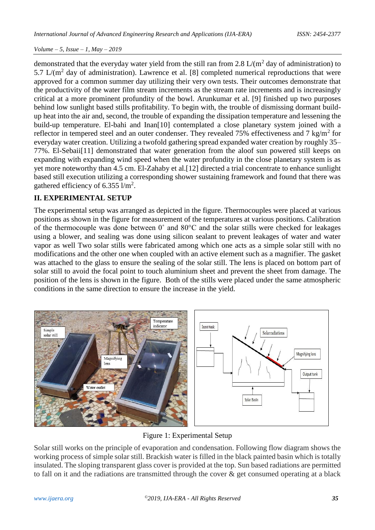demonstrated that the everyday water yield from the still ran from 2.8  $L/(m^2)$  day of administration) to 5.7  $L/(m^2)$  day of administration). Lawrence et al. [8] completed numerical reproductions that were approved for a common summer day utilizing their very own tests. Their outcomes demonstrate that the productivity of the water film stream increments as the stream rate increments and is increasingly critical at a more prominent profundity of the bowl. Arunkumar et al. [9] finished up two purposes behind low sunlight based stills profitability. To begin with, the trouble of dismissing dormant buildup heat into the air and, second, the trouble of expanding the dissipation temperature and lessening the build-up temperature. El-bahi and Inan[10] contemplated a close planetary system joined with a reflector in tempered steel and an outer condenser. They revealed 75% effectiveness and 7 kg/m<sup>2</sup> for everyday water creation. Utilizing a twofold gathering spread expanded water creation by roughly 35– 77%. El-Sebaii[11] demonstrated that water generation from the aloof sun powered still keeps on expanding with expanding wind speed when the water profundity in the close planetary system is as yet more noteworthy than 4.5 cm. El-Zahaby et al.[12] directed a trial concentrate to enhance sunlight based still execution utilizing a corresponding shower sustaining framework and found that there was gathered efficiency of 6.355  $1/m^2$ .

# **II. EXPERIMENTAL SETUP**

The experimental setup was arranged as depicted in the figure. Thermocouples were placed at various positions as shown in the figure for measurement of the temperatures at various positions. Calibration of the thermocouple was done between  $0^{\circ}$  and  $80^{\circ}$ C and the solar stills were checked for leakages using a blower, and sealing was done using silicon sealant to prevent leakages of water and water vapor as well Two solar stills were fabricated among which one acts as a simple solar still with no modifications and the other one when coupled with an active element such as a magnifier. The gasket was attached to the glass to ensure the sealing of the solar still. The lens is placed on bottom part of solar still to avoid the focal point to touch aluminium sheet and prevent the sheet from damage. The position of the lens is shown in the figure. Both of the stills were placed under the same atmospheric conditions in the same direction to ensure the increase in the yield.



Figure 1: Experimental Setup

Solar still works on the principle of evaporation and condensation. Following flow diagram shows the working process of simple solar still. Brackish water is filled in the black painted basin which is totally insulated. The sloping transparent glass cover is provided at the top. Sun based radiations are permitted to fall on it and the radiations are transmitted through the cover & get consumed operating at a black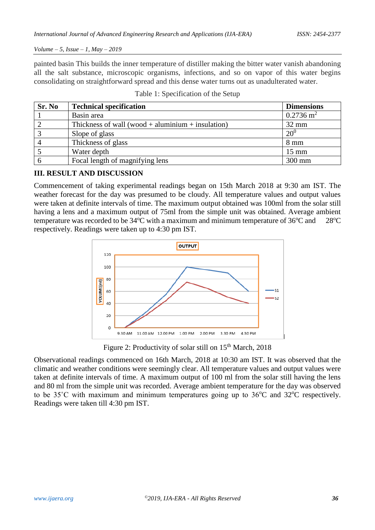painted basin This builds the inner temperature of distiller making the bitter water vanish abandoning all the salt substance, microscopic organisms, infections, and so on vapor of this water begins consolidating on straightforward spread and this dense water turns out as unadulterated water.

| Sr. No | <b>Technical specification</b>                    | <b>Dimensions</b>    |
|--------|---------------------------------------------------|----------------------|
|        | Basin area                                        | $0.2736 \text{ m}^2$ |
|        | Thickness of wall (wood + aluminium + insulation) | $32 \text{ mm}$      |
|        | Slope of glass                                    | $20^{0}$             |
|        | Thickness of glass                                | $8 \text{ mm}$       |
|        | Water depth                                       | $15 \text{ mm}$      |
|        | Focal length of magnifying lens                   | 300 mm               |

Table 1: Specification of the Setup

## **III. RESULT AND DISCUSSION**

Commencement of taking experimental readings began on 15th March 2018 at 9:30 am IST. The weather forecast for the day was presumed to be cloudy. All temperature values and output values were taken at definite intervals of time. The maximum output obtained was 100ml from the solar still having a lens and a maximum output of 75ml from the simple unit was obtained. Average ambient temperature was recorded to be  $34^{\circ}$ C with a maximum and minimum temperature of  $36^{\circ}$ C and  $28^{\circ}$ C respectively. Readings were taken up to 4:30 pm IST.



Figure 2: Productivity of solar still on 15<sup>th</sup> March, 2018

Observational readings commenced on 16th March, 2018 at 10:30 am IST. It was observed that the climatic and weather conditions were seemingly clear. All temperature values and output values were taken at definite intervals of time. A maximum output of 100 ml from the solar still having the lens and 80 ml from the simple unit was recorded. Average ambient temperature for the day was observed to be  $35^{\circ}$ C with maximum and minimum temperatures going up to  $36^{\circ}$ C and  $32^{\circ}$ C respectively. Readings were taken till 4:30 pm IST.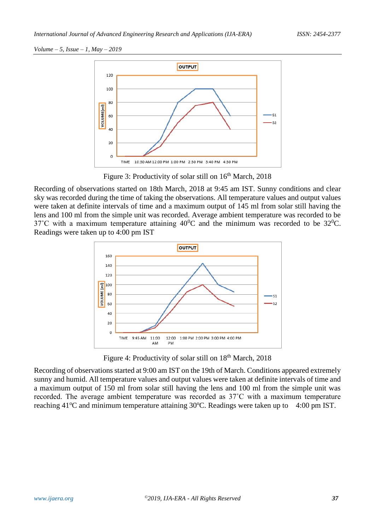

Figure 3: Productivity of solar still on 16<sup>th</sup> March, 2018

Recording of observations started on 18th March, 2018 at 9:45 am IST. Sunny conditions and clear sky was recorded during the time of taking the observations. All temperature values and output values were taken at definite intervals of time and a maximum output of 145 ml from solar still having the lens and 100 ml from the simple unit was recorded. Average ambient temperature was recorded to be 37°C with a maximum temperature attaining  $40^{\circ}$ C and the minimum was recorded to be 32 $^{\circ}$ C. Readings were taken up to 4:00 pm IST



Figure 4: Productivity of solar still on 18<sup>th</sup> March, 2018

Recording of observations started at 9:00 am IST on the 19th of March. Conditions appeared extremely sunny and humid. All temperature values and output values were taken at definite intervals of time and a maximum output of 150 ml from solar still having the lens and 100 ml from the simple unit was recorded. The average ambient temperature was recorded as 37˚C with a maximum temperature reaching  $41^{\circ}$ C and minimum temperature attaining  $30^{\circ}$ C. Readings were taken up to 4:00 pm IST.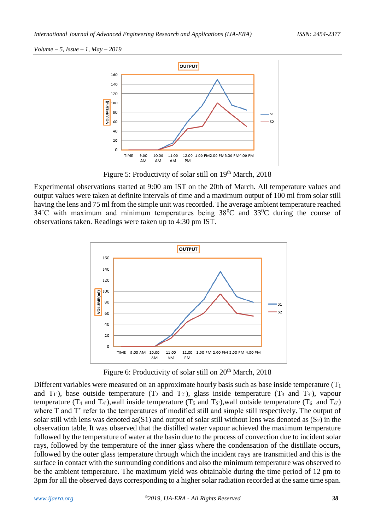

Figure 5: Productivity of solar still on  $19<sup>th</sup>$  March, 2018

Experimental observations started at 9:00 am IST on the 20th of March. All temperature values and output values were taken at definite intervals of time and a maximum output of 100 ml from solar still having the lens and 75 ml from the simple unit was recorded. The average ambient temperature reached  $34^{\circ}$ C with maximum and minimum temperatures being  $38^{\circ}$ C and  $33^{\circ}$ C during the course of observations taken. Readings were taken up to 4:30 pm IST.



Figure 6: Productivity of solar still on  $20<sup>th</sup>$  March, 2018

Different variables were measured on an approximate hourly basis such as base inside temperature  $(T_1)$ and  $T_1$ <sup>'</sup>), base outside temperature ( $T_2$  and  $T_2$ <sup>'</sup>), glass inside temperature ( $T_3$  and  $T_3$ <sup>'</sup>), vapour temperature (T<sub>4</sub> and T<sub>4</sub><sup>'</sup>), wall inside temperature (T<sub>5</sub> and T<sub>5</sub><sup>'</sup>), wall outside temperature (T<sub>6</sub> and T<sub>6</sub><sup>'</sup>) where T and T' refer to the temperatures of modified still and simple still respectively. The output of solar still with lens was denoted as(S1) and output of solar still without lens was denoted as  $(S_2)$  in the observation table. It was observed that the distilled water vapour achieved the maximum temperature followed by the temperature of water at the basin due to the process of convection due to incident solar rays, followed by the temperature of the inner glass where the condensation of the distillate occurs, followed by the outer glass temperature through which the incident rays are transmitted and this is the surface in contact with the surrounding conditions and also the minimum temperature was observed to be the ambient temperature. The maximum yield was obtainable during the time period of 12 pm to 3pm for all the observed days corresponding to a higher solar radiation recorded at the same time span.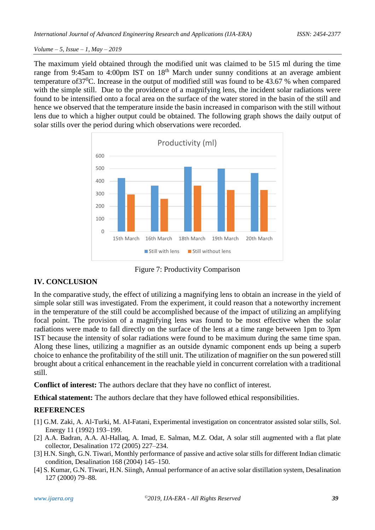The maximum yield obtained through the modified unit was claimed to be 515 ml during the time range from 9:45am to 4:00pm IST on 18<sup>th</sup> March under sunny conditions at an average ambient temperature of37<sup>0</sup>C. Increase in the output of modified still was found to be 43.67 % when compared with the simple still. Due to the providence of a magnifying lens, the incident solar radiations were found to be intensified onto a focal area on the surface of the water stored in the basin of the still and hence we observed that the temperature inside the basin increased in comparison with the still without lens due to which a higher output could be obtained. The following graph shows the daily output of solar stills over the period during which observations were recorded.



Figure 7: Productivity Comparison

# **IV. CONCLUSION**

In the comparative study, the effect of utilizing a magnifying lens to obtain an increase in the yield of simple solar still was investigated. From the experiment, it could reason that a noteworthy increment in the temperature of the still could be accomplished because of the impact of utilizing an amplifying focal point. The provision of a magnifying lens was found to be most effective when the solar radiations were made to fall directly on the surface of the lens at a time range between 1pm to 3pm IST because the intensity of solar radiations were found to be maximum during the same time span. Along these lines, utilizing a magnifier as an outside dynamic component ends up being a superb choice to enhance the profitability of the still unit. The utilization of magnifier on the sun powered still brought about a critical enhancement in the reachable yield in concurrent correlation with a traditional still.

**Conflict of interest:** The authors declare that they have no conflict of interest.

**Ethical statement:** The authors declare that they have followed ethical responsibilities.

# **REFERENCES**

- [1] G.M. Zaki, A. Al-Turki, M. AI-Fatani, Experimental investigation on concentrator assisted solar stills, Sol. Energy 11 (1992) 193–199.
- [2] A.A. Badran, A.A. Al-Hallaq, A. Imad, E. Salman, M.Z. Odat, A solar still augmented with a flat plate collector, Desalination 172 (2005) 227–234.
- [3] H.N. Singh, G.N. Tiwari, Monthly performance of passive and active solar stills for different Indian climatic condition, Desalination 168 (2004) 145–150.
- [4] S. Kumar, G.N. Tiwari, H.N. Siingh, Annual performance of an active solar distillation system, Desalination 127 (2000) 79–88.